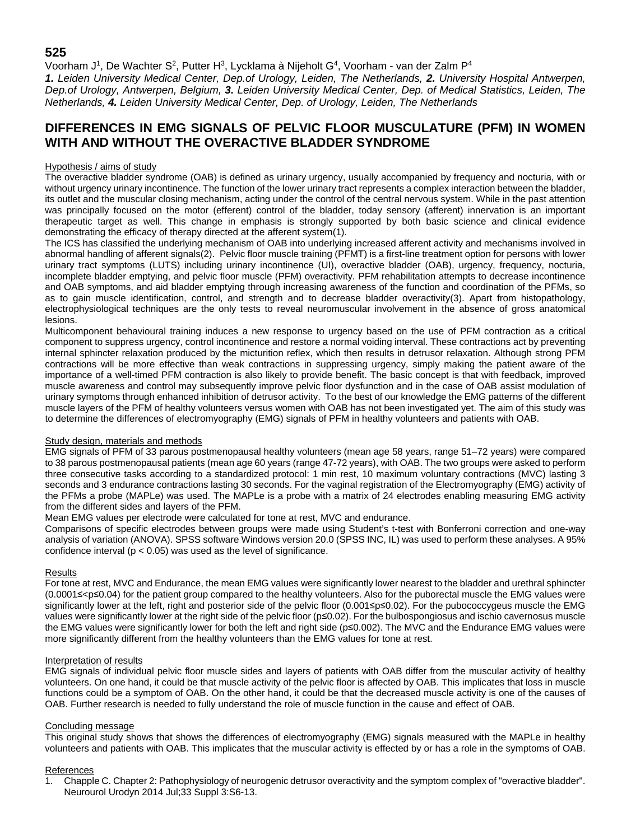# **525**

Voorham J<sup>1</sup>, De Wachter S<sup>2</sup>, Putter H<sup>3</sup>, Lycklama à Nijeholt G<sup>4</sup>, Voorham - van der Zalm P<sup>4</sup>

*1. Leiden University Medical Center, Dep.of Urology, Leiden, The Netherlands, 2. University Hospital Antwerpen, Dep.of Urology, Antwerpen, Belgium, 3. Leiden University Medical Center, Dep. of Medical Statistics, Leiden, The Netherlands, 4. Leiden University Medical Center, Dep. of Urology, Leiden, The Netherlands*

# **DIFFERENCES IN EMG SIGNALS OF PELVIC FLOOR MUSCULATURE (PFM) IN WOMEN WITH AND WITHOUT THE OVERACTIVE BLADDER SYNDROME**

### Hypothesis / aims of study

The overactive bladder syndrome (OAB) is defined as urinary urgency, usually accompanied by frequency and nocturia, with or without urgency urinary incontinence. The function of the lower urinary tract represents a complex interaction between the bladder, its outlet and the muscular closing mechanism, acting under the control of the central nervous system. While in the past attention was principally focused on the motor (efferent) control of the bladder, today sensory (afferent) innervation is an important therapeutic target as well. This change in emphasis is strongly supported by both basic science and clinical evidence demonstrating the efficacy of therapy directed at the afferent system(1).

The ICS has classified the underlying mechanism of OAB into underlying increased afferent activity and mechanisms involved in abnormal handling of afferent signals(2). Pelvic floor muscle training (PFMT) is a first-line treatment option for persons with lower urinary tract symptoms (LUTS) including urinary incontinence (UI), overactive bladder (OAB), urgency, frequency, nocturia, incomplete bladder emptying, and pelvic floor muscle (PFM) overactivity. PFM rehabilitation attempts to decrease incontinence and OAB symptoms, and aid bladder emptying through increasing awareness of the function and coordination of the PFMs, so as to gain muscle identification, control, and strength and to decrease bladder overactivity(3). Apart from histopathology, electrophysiological techniques are the only tests to reveal neuromuscular involvement in the absence of gross anatomical lesions.

Multicomponent behavioural training induces a new response to urgency based on the use of PFM contraction as a critical component to suppress urgency, control incontinence and restore a normal voiding interval. These contractions act by preventing internal sphincter relaxation produced by the micturition reflex, which then results in detrusor relaxation. Although strong PFM contractions will be more effective than weak contractions in suppressing urgency, simply making the patient aware of the importance of a well-timed PFM contraction is also likely to provide benefit. The basic concept is that with feedback, improved muscle awareness and control may subsequently improve pelvic floor dysfunction and in the case of OAB assist modulation of urinary symptoms through enhanced inhibition of detrusor activity. To the best of our knowledge the EMG patterns of the different muscle layers of the PFM of healthy volunteers versus women with OAB has not been investigated yet. The aim of this study was to determine the differences of electromyography (EMG) signals of PFM in healthy volunteers and patients with OAB.

### Study design, materials and methods

EMG signals of PFM of 33 parous postmenopausal healthy volunteers (mean age 58 years, range 51–72 years) were compared to 38 parous postmenopausal patients (mean age 60 years (range 47-72 years), with OAB. The two groups were asked to perform three consecutive tasks according to a standardized protocol: 1 min rest, 10 maximum voluntary contractions (MVC) lasting 3 seconds and 3 endurance contractions lasting 30 seconds. For the vaginal registration of the Electromyography (EMG) activity of the PFMs a probe (MAPLe) was used. The MAPLe is a probe with a matrix of 24 electrodes enabling measuring EMG activity from the different sides and layers of the PFM.

Mean EMG values per electrode were calculated for tone at rest, MVC and endurance.

Comparisons of specific electrodes between groups were made using Student's t-test with Bonferroni correction and one-way analysis of variation (ANOVA). SPSS software Windows version 20.0 (SPSS INC, IL) was used to perform these analyses. A 95% confidence interval ( $p < 0.05$ ) was used as the level of significance.

### Results

For tone at rest, MVC and Endurance, the mean EMG values were significantly lower nearest to the bladder and urethral sphincter (0.0001≤<p≤0.04) for the patient group compared to the healthy volunteers. Also for the puborectal muscle the EMG values were significantly lower at the left, right and posterior side of the pelvic floor (0.001≤p≤0.02). For the pubococcygeus muscle the EMG values were significantly lower at the right side of the pelvic floor (p≤0.02). For the bulbospongiosus and ischio cavernosus muscle the EMG values were significantly lower for both the left and right side (p≤0.002). The MVC and the Endurance EMG values were more significantly different from the healthy volunteers than the EMG values for tone at rest.

### Interpretation of results

EMG signals of individual pelvic floor muscle sides and layers of patients with OAB differ from the muscular activity of healthy volunteers. On one hand, it could be that muscle activity of the pelvic floor is affected by OAB. This implicates that loss in muscle functions could be a symptom of OAB. On the other hand, it could be that the decreased muscle activity is one of the causes of OAB. Further research is needed to fully understand the role of muscle function in the cause and effect of OAB.

### Concluding message

This original study shows that shows the differences of electromyography (EMG) signals measured with the MAPLe in healthy volunteers and patients with OAB. This implicates that the muscular activity is effected by or has a role in the symptoms of OAB.

### References

1. Chapple C. Chapter 2: Pathophysiology of neurogenic detrusor overactivity and the symptom complex of "overactive bladder". Neurourol Urodyn 2014 Jul;33 Suppl 3:S6-13.